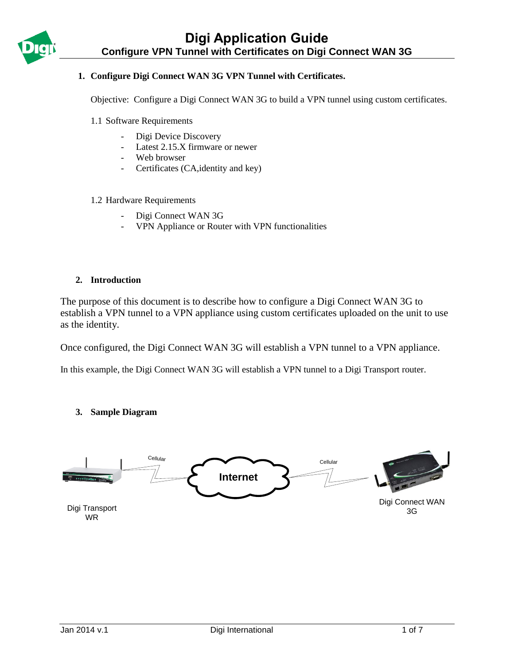

## **1. Configure Digi Connect WAN 3G VPN Tunnel with Certificates.**

Objective: Configure a Digi Connect WAN 3G to build a VPN tunnel using custom certificates.

- 1.1 Software Requirements
	- Digi Device Discovery
	- Latest 2.15.X firmware or newer
	- Web browser
	- Certificates (CA,identity and key)

#### 1.2 Hardware Requirements

- Digi Connect WAN 3G
- VPN Appliance or Router with VPN functionalities

#### **2. Introduction**

The purpose of this document is to describe how to configure a Digi Connect WAN 3G to establish a VPN tunnel to a VPN appliance using custom certificates uploaded on the unit to use as the identity.

Once configured, the Digi Connect WAN 3G will establish a VPN tunnel to a VPN appliance.

In this example, the Digi Connect WAN 3G will establish a VPN tunnel to a Digi Transport router.

#### **3. Sample Diagram**

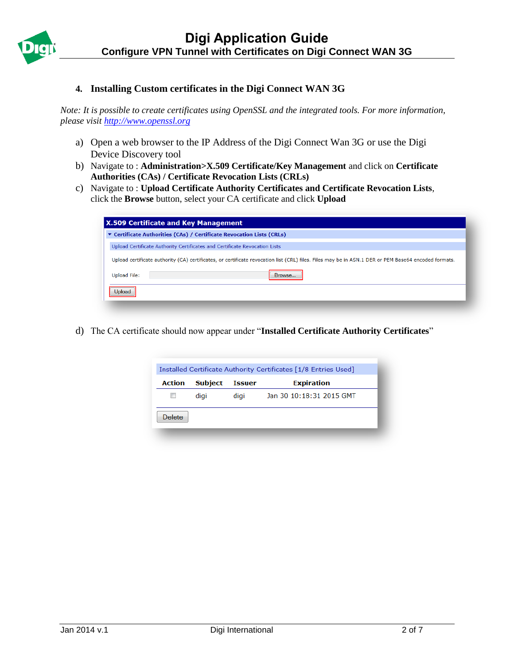

## **4. Installing Custom certificates in the Digi Connect WAN 3G**

*Note: It is possible to create certificates using OpenSSL and the integrated tools. For more information, please visit [http://www.openssl.org](http://www.openssl.org/)*

- a) Open a web browser to the IP Address of the Digi Connect Wan 3G or use the Digi Device Discovery tool
- b) Navigate to : **Administration>X.509 Certificate/Key Management** and click on **Certificate Authorities (CAs) / Certificate Revocation Lists (CRLs)**
- c) Navigate to : **Upload Certificate Authority Certificates and Certificate Revocation Lists**, click the **Browse** button, select your CA certificate and click **Upload**

| <b>X.509 Certificate and Key Management</b> |                                                                                                                                                      |
|---------------------------------------------|------------------------------------------------------------------------------------------------------------------------------------------------------|
|                                             | ▼ Certificate Authorities (CAs) / Certificate Revocation Lists (CRLs)                                                                                |
|                                             | Upload Certificate Authority Certificates and Certificate Revocation Lists                                                                           |
|                                             | Upload certificate authority (CA) certificates, or certificate revocation list (CRL) files. Files may be in ASN.1 DER or PEM Base64 encoded formats. |
| <b>Upload File:</b>                         | Browse                                                                                                                                               |
| Jpload                                      |                                                                                                                                                      |
|                                             |                                                                                                                                                      |

d) The CA certificate should now appear under "**Installed Certificate Authority Certificates**"

|        |                |               | Installed Certificate Authority Certificates [1/8 Entries Used] |
|--------|----------------|---------------|-----------------------------------------------------------------|
| Action | <b>Subject</b> | <b>Issuer</b> | <b>Expiration</b>                                               |
|        | digi           | digi          | Jan 30 10:18:31 2015 GMT                                        |
| Delete |                |               |                                                                 |
|        |                |               |                                                                 |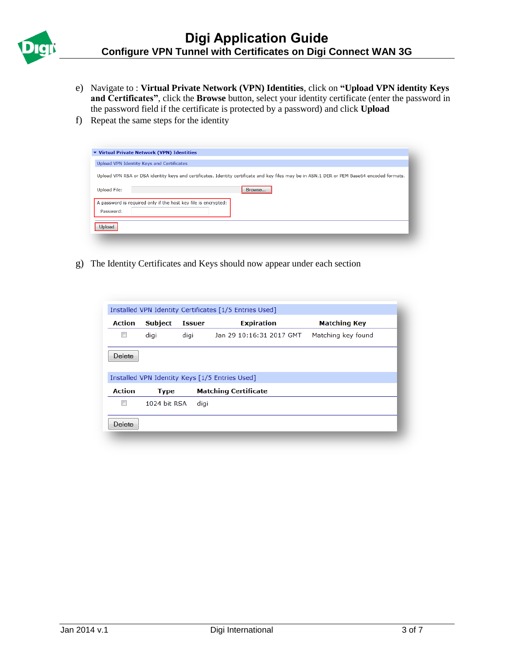

- e) Navigate to : **Virtual Private Network (VPN) Identities**, click on **"Upload VPN identity Keys and Certificates"**, click the **Browse** button, select your identity certificate (enter the password in the password field if the certificate is protected by a password) and click **Upload**
- f) Repeat the same steps for the identity

|                     | Upload VPN Identity Keys and Certificates                                                                                                   |
|---------------------|---------------------------------------------------------------------------------------------------------------------------------------------|
|                     | Upload VPN RSA or DSA identity keys and certificates. Identity certificate and key files may be in ASN.1 DER or PEM Base64 encoded formats. |
| <b>Upload File:</b> | Browse                                                                                                                                      |
| Password:           | A password is required only if the host key file is encrypted:                                                                              |
| Jpload              |                                                                                                                                             |

g) The Identity Certificates and Keys should now appear under each section

|               |                |               | Installed VPN Identity Certificates [1/5 Entries Used] |                     |
|---------------|----------------|---------------|--------------------------------------------------------|---------------------|
| <b>Action</b> | <b>Subject</b> | <b>Issuer</b> | <b>Expiration</b>                                      | <b>Matching Key</b> |
|               | digi           | digi          | Jan 29 10:16:31 2017 GMT                               | Matching key found  |
| Delete        |                |               |                                                        |                     |
|               |                |               | Installed VPN Identity Keys [1/5 Entries Used]         |                     |
| <b>Action</b> | <b>Type</b>    |               | <b>Matching Certificate</b>                            |                     |
|               | 1024 bit RSA   | digi          |                                                        |                     |
| Delete        |                |               |                                                        |                     |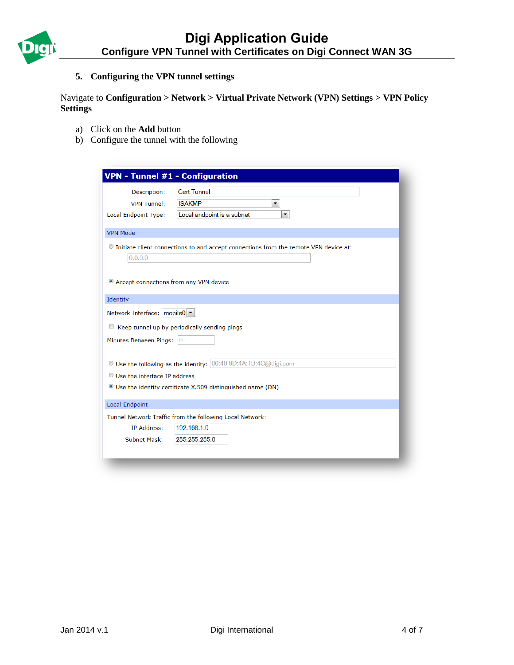

# **5. Configuring the VPN tunnel settings**

# Navigate to **Configuration > Network > Virtual Private Network (VPN) Settings > VPN Policy Settings**

- a) Click on the **Add** button
- b) Configure the tunnel with the following

| <b>VPN - Tunnel #1 - Configuration</b>              |                                                                                        |
|-----------------------------------------------------|----------------------------------------------------------------------------------------|
| Description:                                        | <b>Cert Tunnel</b>                                                                     |
| <b>VPN Tunnel:</b>                                  | $\blacktriangledown$<br><b>ISAKMP</b>                                                  |
| <b>Local Endpoint Type:</b>                         | Local endpoint is a subnet<br>$\blacktriangledown$                                     |
| <b>VPN Mode</b>                                     |                                                                                        |
| 0.0.0.0                                             | © Initiate client connections to and accept connections from the remote VPN device at: |
| <sup>o</sup> Accept connections from any VPN device |                                                                                        |
| Identity                                            |                                                                                        |
| Network Interface: mobile0                          |                                                                                        |
|                                                     | Keep tunnel up by periodically sending pings                                           |
| Minutes Between Pings:                              | $\overline{0}$                                                                         |
|                                                     | Use the following as the identity: 00:40:9D:4A:1D:4C@digi.com                          |
| C Use the interface IP address                      |                                                                                        |
|                                                     | <sup>®</sup> Use the identity certificate X.509 distinguished name (DN)                |
| <b>Local Endpoint</b>                               |                                                                                        |
|                                                     | Tunnel Network Traffic from the following Local Network:                               |
| <b>IP Address:</b>                                  | 192.168.1.0                                                                            |
| Subnet Mask:                                        | 255.255.255.0                                                                          |
|                                                     |                                                                                        |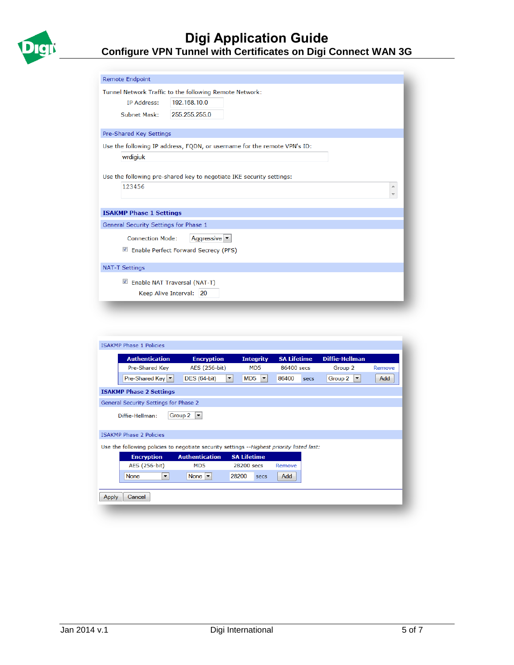

| <b>Remote Endpoint</b>                                                   |   |
|--------------------------------------------------------------------------|---|
| Tunnel Network Traffic to the following Remote Network:                  |   |
| 192.168.10.0<br><b>IP Address:</b>                                       |   |
| <b>Subnet Mask:</b><br>255.255.255.0                                     |   |
| Pre-Shared Key Settings                                                  |   |
|                                                                          |   |
| Use the following IP address, FQDN, or username for the remote VPN's ID: |   |
| wrdigiuk                                                                 |   |
|                                                                          |   |
| Use the following pre-shared key to negotiate IKE security settings:     |   |
| 123456                                                                   | ∸ |
|                                                                          |   |
|                                                                          |   |
| <b>ISAKMP Phase 1 Settings</b>                                           |   |
| General Security Settings for Phase 1                                    |   |
| Aggressive $\blacktriangledown$<br><b>Connection Mode:</b>               |   |
| ■ Enable Perfect Forward Secrecy (PFS)                                   |   |
|                                                                          |   |
| <b>NAT-T Settings</b>                                                    |   |
| ■ Enable NAT Traversal (NAT-T)                                           |   |
| Keep Alive Interval: 20                                                  |   |
|                                                                          |   |
|                                                                          |   |

|       | <b>Authentication</b>                                                                     | <b>Encryption</b>                   | <b>Integrity</b>                 | <b>SA Lifetime</b> | <b>Diffie-Hellman</b>           |        |
|-------|-------------------------------------------------------------------------------------------|-------------------------------------|----------------------------------|--------------------|---------------------------------|--------|
|       | Pre-Shared Key                                                                            | AES (256-bit)                       | M <sub>D</sub> <sub>5</sub>      | 86400 secs         | Group 2                         | Remove |
|       | Pre-Shared Key   ▼                                                                        | <b>DES</b> (64-bit)                 | MD5<br>$\blacktriangledown$<br>▼ | 86400<br>secs      | Group 2<br>$\blacktriangledown$ | Add    |
|       | <b>ISAKMP Phase 2 Settings</b>                                                            |                                     |                                  |                    |                                 |        |
|       | General Security Settings for Phase 2                                                     |                                     |                                  |                    |                                 |        |
|       | Diffie-Hellman:                                                                           | Group 2<br>$\vert \mathbf{v} \vert$ |                                  |                    |                                 |        |
|       |                                                                                           |                                     |                                  |                    |                                 |        |
|       |                                                                                           |                                     |                                  |                    |                                 |        |
|       | <b>ISAKMP Phase 2 Policies</b>                                                            |                                     |                                  |                    |                                 |        |
|       | Use the following policies to negotiate security settings --Highest priority listed last: |                                     |                                  |                    |                                 |        |
|       | <b>Encryption</b>                                                                         | <b>Authentication</b>               | <b>SA Lifetime</b>               |                    |                                 |        |
|       | AES (256-bit)                                                                             | MD <sub>5</sub>                     | 28200 secs                       | Remove             |                                 |        |
|       | <b>None</b><br>$\blacktriangledown$                                                       | None $ \mathbf{v} $                 | 28200<br>secs                    | Add                |                                 |        |
|       |                                                                                           |                                     |                                  |                    |                                 |        |
| Apply | Cancel                                                                                    |                                     |                                  |                    |                                 |        |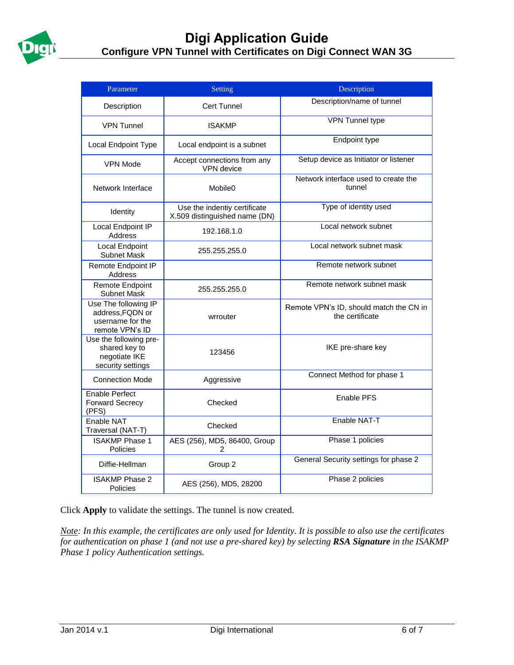

| Parameter                                                                       | Setting                                                       | Description                                                |
|---------------------------------------------------------------------------------|---------------------------------------------------------------|------------------------------------------------------------|
| Description                                                                     | Cert Tunnel                                                   | Description/name of tunnel                                 |
| <b>VPN Tunnel</b>                                                               | <b>ISAKMP</b>                                                 | <b>VPN Tunnel type</b>                                     |
| Local Endpoint Type                                                             | Local endpoint is a subnet                                    | Endpoint type                                              |
| <b>VPN Mode</b>                                                                 | Accept connections from any<br>VPN device                     | Setup device as Initiator or listener                      |
| Network Interface                                                               | Mobile <sub>0</sub>                                           | Network interface used to create the<br>tunnel             |
| Identity                                                                        | Use the indentiy certificate<br>X.509 distinguished name (DN) | Type of identity used                                      |
| Local Endpoint IP<br>Address                                                    | 192.168.1.0                                                   | Local network subnet                                       |
| <b>Local Endpoint</b><br>Subnet Mask                                            | 255.255.255.0                                                 | Local network subnet mask                                  |
| Remote Endpoint IP<br>Address                                                   |                                                               | Remote network subnet                                      |
| Remote Endpoint<br>Subnet Mask                                                  | 255.255.255.0                                                 | Remote network subnet mask                                 |
| Use The following IP<br>address, FQDN or<br>username for the<br>remote VPN's ID | wrrouter                                                      | Remote VPN's ID, should match the CN in<br>the certificate |
| Use the following pre-<br>shared key to<br>negotiate IKE<br>security settings   | 123456                                                        | IKE pre-share key                                          |
| <b>Connection Mode</b>                                                          | Aggressive                                                    | Connect Method for phase 1                                 |
| Enable Perfect<br><b>Forward Secrecy</b><br>(PFS)                               | Checked                                                       | <b>Enable PFS</b>                                          |
| Enable NAT<br>Traversal (NAT-T)                                                 | Checked                                                       | Enable NAT-T                                               |
| <b>ISAKMP Phase 1</b><br>Policies                                               | AES (256), MD5, 86400, Group<br>2                             | Phase 1 policies                                           |
| Diffie-Hellman                                                                  | Group 2                                                       | General Security settings for phase 2                      |
| <b>ISAKMP Phase 2</b><br>Policies                                               | AES (256), MD5, 28200                                         | Phase 2 policies                                           |

Click **Apply** to validate the settings. The tunnel is now created.

*Note: In this example, the certificates are only used for Identity. It is possible to also use the certificates for authentication on phase 1 (and not use a pre-shared key) by selecting RSA Signature in the ISAKMP Phase 1 policy Authentication settings.*